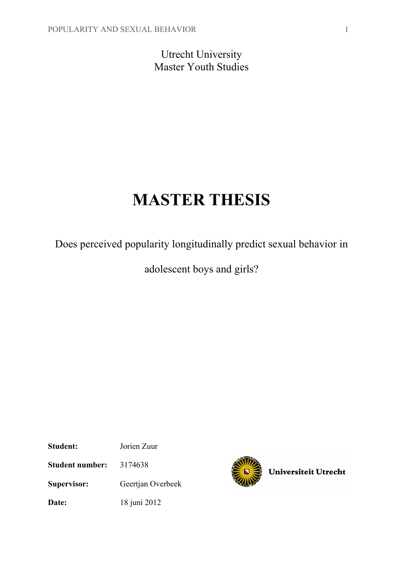Utrecht University Master Youth Studies

# **MASTER THESIS**

Does perceived popularity longitudinally predict sexual behavior in

adolescent boys and girls?

**Student:** Jorien Zuur **Student number:** 3174638 **Supervisor:** Geertjan Overbeek **Date:** 18 juni 2012



Universiteit Utrecht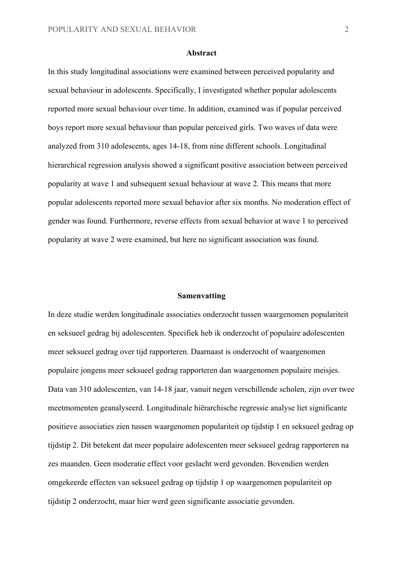#### **Abstract**

In this study longitudinal associations were examined between perceived popularity and sexual behaviour in adolescents. Specifically, I investigated whether popular adolescents reported more sexual behaviour over time. In addition, examined was if popular perceived boys report more sexual behaviour than popular perceived girls. Two waves of data were analyzed from 310 adolescents, ages 14-18, from nine different schools. Longitudinal hierarchical regression analysis showed a significant positive association between perceived popularity at wave 1 and subsequent sexual behaviour at wave 2. This means that more popular adolescents reported more sexual behavior after six months. No moderation effect of gender was found. Furthermore, reverse effects from sexual behavior at wave 1 to perceived popularity at wave 2 were examined, but here no significant association was found.

#### **Samenvatting**

In deze studie werden longitudinale associaties onderzocht tussen waargenomen populariteit en seksueel gedrag bij adolescenten. Specifiek heb ik onderzocht of populaire adolescenten meer seksueel gedrag over tijd rapporteren. Daarnaast is onderzocht of waargenomen populaire jongens meer seksueel gedrag rapporteren dan waargenomen populaire meisjes. Data van 310 adolescenten, van 14-18 jaar, vanuit negen verschillende scholen, zijn over twee meetmomenten geanalyseerd. Longitudinale hiërarchische regressie analyse liet significante positieve associaties zien tussen waargenomen populariteit op tijdstip 1 en seksueel gedrag op tijdstip 2. Dit betekent dat meer populaire adolescenten meer seksueel gedrag rapporteren na zes maanden. Geen moderatie effect voor geslacht werd gevonden. Bovendien werden omgekeerde effecten van seksueel gedrag op tijdstip 1 op waargenomen populariteit op tijdstip 2 onderzocht, maar hier werd geen significante associatie gevonden.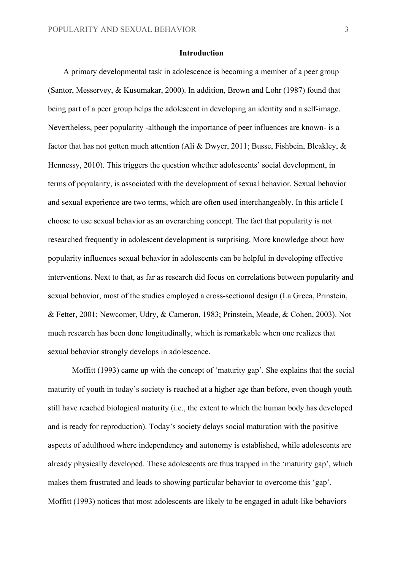#### **Introduction**

A primary developmental task in adolescence is becoming a member of a peer group (Santor, Messervey, & Kusumakar, 2000). In addition, Brown and Lohr (1987) found that being part of a peer group helps the adolescent in developing an identity and a self-image. Nevertheless, peer popularity -although the importance of peer influences are known- is a factor that has not gotten much attention (Ali & Dwyer, 2011; Busse, Fishbein, Bleakley, & Hennessy, 2010). This triggers the question whether adolescents' social development, in terms of popularity, is associated with the development of sexual behavior. Sexual behavior and sexual experience are two terms, which are often used interchangeably. In this article I choose to use sexual behavior as an overarching concept. The fact that popularity is not researched frequently in adolescent development is surprising. More knowledge about how popularity influences sexual behavior in adolescents can be helpful in developing effective interventions. Next to that, as far as research did focus on correlations between popularity and sexual behavior, most of the studies employed a cross-sectional design (La Greca, Prinstein, & Fetter, 2001; Newcomer, Udry, & Cameron, 1983; Prinstein, Meade, & Cohen, 2003). Not much research has been done longitudinally, which is remarkable when one realizes that sexual behavior strongly develops in adolescence.

Moffitt (1993) came up with the concept of 'maturity gap'. She explains that the social maturity of youth in today's society is reached at a higher age than before, even though youth still have reached biological maturity (i.e., the extent to which the human body has developed and is ready for reproduction). Today's society delays social maturation with the positive aspects of adulthood where independency and autonomy is established, while adolescents are already physically developed. These adolescents are thus trapped in the 'maturity gap', which makes them frustrated and leads to showing particular behavior to overcome this 'gap'. Moffitt (1993) notices that most adolescents are likely to be engaged in adult-like behaviors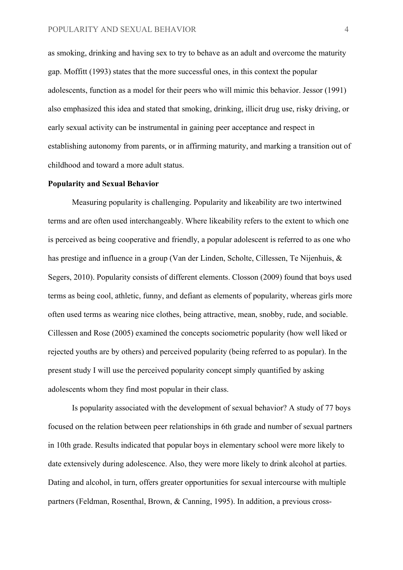as smoking, drinking and having sex to try to behave as an adult and overcome the maturity gap. Moffitt (1993) states that the more successful ones, in this context the popular adolescents, function as a model for their peers who will mimic this behavior. Jessor (1991) also emphasized this idea and stated that smoking, drinking, illicit drug use, risky driving, or early sexual activity can be instrumental in gaining peer acceptance and respect in establishing autonomy from parents, or in affirming maturity, and marking a transition out of childhood and toward a more adult status.

#### **Popularity and Sexual Behavior**

Measuring popularity is challenging. Popularity and likeability are two intertwined terms and are often used interchangeably. Where likeability refers to the extent to which one is perceived as being cooperative and friendly, a popular adolescent is referred to as one who has prestige and influence in a group (Van der Linden, Scholte, Cillessen, Te Nijenhuis, & Segers, 2010). Popularity consists of different elements. Closson (2009) found that boys used terms as being cool, athletic, funny, and defiant as elements of popularity, whereas girls more often used terms as wearing nice clothes, being attractive, mean, snobby, rude, and sociable. Cillessen and Rose (2005) examined the concepts sociometric popularity (how well liked or rejected youths are by others) and perceived popularity (being referred to as popular). In the present study I will use the perceived popularity concept simply quantified by asking adolescents whom they find most popular in their class.

Is popularity associated with the development of sexual behavior? A study of 77 boys focused on the relation between peer relationships in 6th grade and number of sexual partners in 10th grade. Results indicated that popular boys in elementary school were more likely to date extensively during adolescence. Also, they were more likely to drink alcohol at parties. Dating and alcohol, in turn, offers greater opportunities for sexual intercourse with multiple partners (Feldman, Rosenthal, Brown, & Canning, 1995). In addition, a previous cross-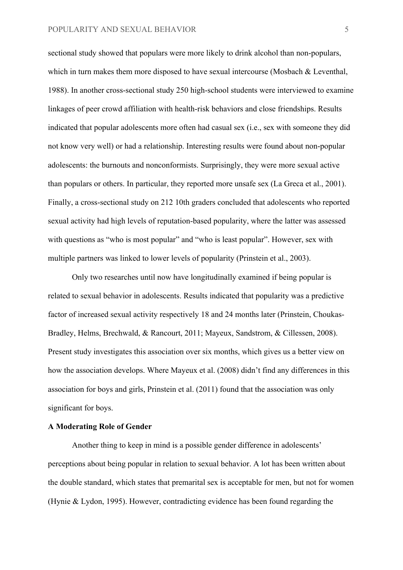#### POPULARITY AND SEXUAL BEHAVIOR 5

sectional study showed that populars were more likely to drink alcohol than non-populars, which in turn makes them more disposed to have sexual intercourse (Mosbach & Leventhal, 1988). In another cross-sectional study 250 high-school students were interviewed to examine linkages of peer crowd affiliation with health-risk behaviors and close friendships. Results indicated that popular adolescents more often had casual sex (i.e., sex with someone they did not know very well) or had a relationship. Interesting results were found about non-popular adolescents: the burnouts and nonconformists. Surprisingly, they were more sexual active than populars or others. In particular, they reported more unsafe sex (La Greca et al., 2001). Finally, a cross-sectional study on 212 10th graders concluded that adolescents who reported sexual activity had high levels of reputation-based popularity, where the latter was assessed with questions as "who is most popular" and "who is least popular". However, sex with multiple partners was linked to lower levels of popularity (Prinstein et al., 2003).

Only two researches until now have longitudinally examined if being popular is related to sexual behavior in adolescents. Results indicated that popularity was a predictive factor of increased sexual activity respectively 18 and 24 months later (Prinstein, Choukas-Bradley, Helms, Brechwald, & Rancourt, 2011; Mayeux, Sandstrom, & Cillessen, 2008). Present study investigates this association over six months, which gives us a better view on how the association develops. Where Mayeux et al. (2008) didn't find any differences in this association for boys and girls, Prinstein et al. (2011) found that the association was only significant for boys.

### **A Moderating Role of Gender**

Another thing to keep in mind is a possible gender difference in adolescents' perceptions about being popular in relation to sexual behavior. A lot has been written about the double standard, which states that premarital sex is acceptable for men, but not for women (Hynie & Lydon, 1995). However, contradicting evidence has been found regarding the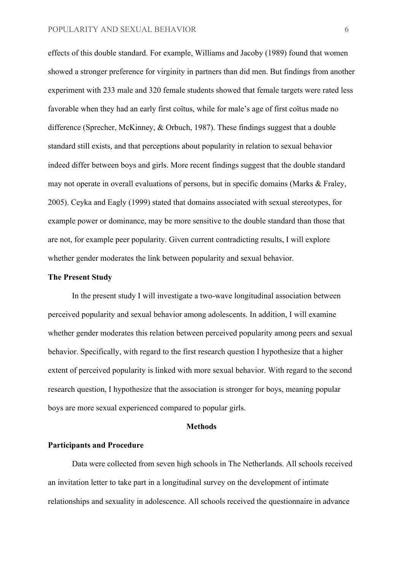effects of this double standard. For example, Williams and Jacoby (1989) found that women showed a stronger preference for virginity in partners than did men. But findings from another experiment with 233 male and 320 female students showed that female targets were rated less favorable when they had an early first coïtus, while for male's age of first coïtus made no difference (Sprecher, McKinney, & Orbuch, 1987). These findings suggest that a double standard still exists, and that perceptions about popularity in relation to sexual behavior indeed differ between boys and girls. More recent findings suggest that the double standard may not operate in overall evaluations of persons, but in specific domains (Marks & Fraley, 2005). Ceyka and Eagly (1999) stated that domains associated with sexual stereotypes, for example power or dominance, may be more sensitive to the double standard than those that are not, for example peer popularity. Given current contradicting results, I will explore whether gender moderates the link between popularity and sexual behavior.

#### **The Present Study**

In the present study I will investigate a two-wave longitudinal association between perceived popularity and sexual behavior among adolescents. In addition, I will examine whether gender moderates this relation between perceived popularity among peers and sexual behavior. Specifically, with regard to the first research question I hypothesize that a higher extent of perceived popularity is linked with more sexual behavior. With regard to the second research question, I hypothesize that the association is stronger for boys, meaning popular boys are more sexual experienced compared to popular girls.

#### **Methods**

#### **Participants and Procedure**

Data were collected from seven high schools in The Netherlands. All schools received an invitation letter to take part in a longitudinal survey on the development of intimate relationships and sexuality in adolescence. All schools received the questionnaire in advance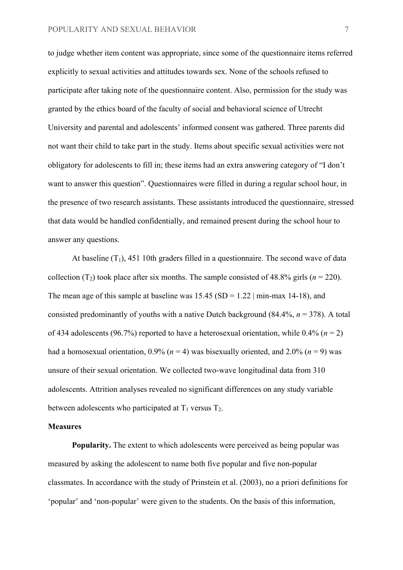to judge whether item content was appropriate, since some of the questionnaire items referred explicitly to sexual activities and attitudes towards sex. None of the schools refused to participate after taking note of the questionnaire content. Also, permission for the study was granted by the ethics board of the faculty of social and behavioral science of Utrecht University and parental and adolescents' informed consent was gathered. Three parents did not want their child to take part in the study. Items about specific sexual activities were not obligatory for adolescents to fill in; these items had an extra answering category of "I don't want to answer this question". Questionnaires were filled in during a regular school hour, in the presence of two research assistants. These assistants introduced the questionnaire, stressed that data would be handled confidentially, and remained present during the school hour to answer any questions.

At baseline  $(T_1)$ , 451 10th graders filled in a questionnaire. The second wave of data collection  $(T_2)$  took place after six months. The sample consisted of 48.8% girls  $(n = 220)$ . The mean age of this sample at baseline was  $15.45$  (SD = 1.22 | min-max 14-18), and consisted predominantly of youths with a native Dutch background (84.4%, *n* = 378). A total of 434 adolescents (96.7%) reported to have a heterosexual orientation, while  $0.4\%$  ( $n = 2$ ) had a homosexual orientation,  $0.9\%$  ( $n = 4$ ) was bisexually oriented, and  $2.0\%$  ( $n = 9$ ) was unsure of their sexual orientation. We collected two-wave longitudinal data from 310 adolescents. Attrition analyses revealed no significant differences on any study variable between adolescents who participated at  $T_1$  versus  $T_2$ .

#### **Measures**

**Popularity.** The extent to which adolescents were perceived as being popular was measured by asking the adolescent to name both five popular and five non-popular classmates. In accordance with the study of Prinstein et al. (2003), no a priori definitions for 'popular' and 'non-popular' were given to the students. On the basis of this information,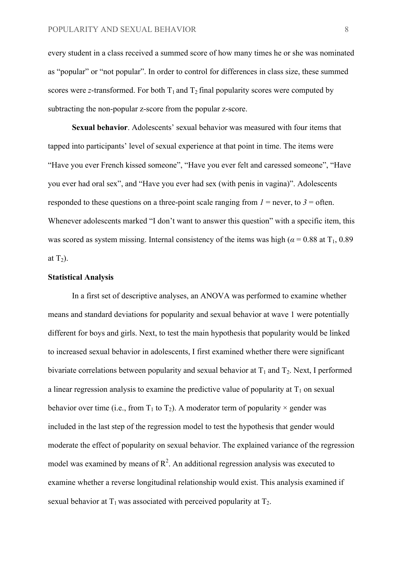every student in a class received a summed score of how many times he or she was nominated as "popular" or "not popular". In order to control for differences in class size, these summed scores were *z*-transformed. For both  $T_1$  and  $T_2$  final popularity scores were computed by subtracting the non-popular z-score from the popular z-score.

**Sexual behavior**. Adolescents' sexual behavior was measured with four items that tapped into participants' level of sexual experience at that point in time. The items were "Have you ever French kissed someone", "Have you ever felt and caressed someone", "Have you ever had oral sex", and "Have you ever had sex (with penis in vagina)". Adolescents responded to these questions on a three-point scale ranging from  $I =$  never, to  $3 =$  often. Whenever adolescents marked "I don't want to answer this question" with a specific item, this was scored as system missing. Internal consistency of the items was high ( $\alpha$  = 0.88 at T<sub>1</sub>, 0.89) at  $T_2$ ).

#### **Statistical Analysis**

In a first set of descriptive analyses, an ANOVA was performed to examine whether means and standard deviations for popularity and sexual behavior at wave 1 were potentially different for boys and girls. Next, to test the main hypothesis that popularity would be linked to increased sexual behavior in adolescents, I first examined whether there were significant bivariate correlations between popularity and sexual behavior at  $T_1$  and  $T_2$ . Next, I performed a linear regression analysis to examine the predictive value of popularity at  $T_1$  on sexual behavior over time (i.e., from  $T_1$  to  $T_2$ ). A moderator term of popularity  $\times$  gender was included in the last step of the regression model to test the hypothesis that gender would moderate the effect of popularity on sexual behavior. The explained variance of the regression model was examined by means of  $R^2$ . An additional regression analysis was executed to examine whether a reverse longitudinal relationship would exist. This analysis examined if sexual behavior at  $T_1$  was associated with perceived popularity at  $T_2$ .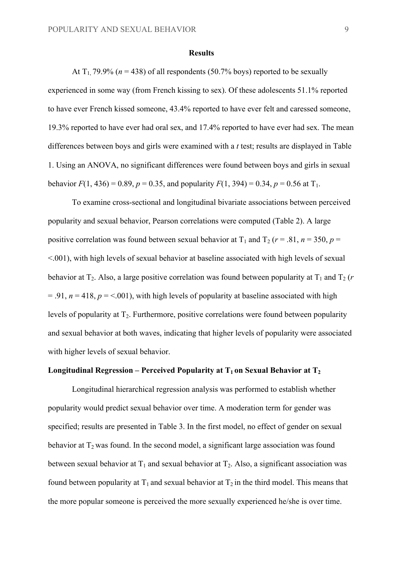#### **Results**

At  $T_1$ , 79.9% ( $n = 438$ ) of all respondents (50.7% boys) reported to be sexually experienced in some way (from French kissing to sex). Of these adolescents 51.1% reported to have ever French kissed someone, 43.4% reported to have ever felt and caressed someone, 19.3% reported to have ever had oral sex, and 17.4% reported to have ever had sex. The mean differences between boys and girls were examined with a *t* test; results are displayed in Table 1. Using an ANOVA, no significant differences were found between boys and girls in sexual

behavior  $F(1, 436) = 0.89$ ,  $p = 0.35$ , and popularity  $F(1, 394) = 0.34$ ,  $p = 0.56$  at  $T_1$ .

To examine cross-sectional and longitudinal bivariate associations between perceived popularity and sexual behavior, Pearson correlations were computed (Table 2). A large positive correlation was found between sexual behavior at  $T_1$  and  $T_2$  ( $r = .81$ ,  $n = 350$ ,  $p =$  $\leq 0.001$ ), with high levels of sexual behavior at baseline associated with high levels of sexual behavior at  $T_2$ . Also, a large positive correlation was found between popularity at  $T_1$  and  $T_2$  (*r*  $= 0.91$ ,  $n = 418$ ,  $p = 0.001$ , with high levels of popularity at baseline associated with high levels of popularity at  $T_2$ . Furthermore, positive correlations were found between popularity and sexual behavior at both waves, indicating that higher levels of popularity were associated with higher levels of sexual behavior.

## **Longitudinal Regression – Perceived Popularity at**  $T_1$  **on Sexual Behavior at**  $T_2$

Longitudinal hierarchical regression analysis was performed to establish whether popularity would predict sexual behavior over time. A moderation term for gender was specified; results are presented in Table 3. In the first model, no effect of gender on sexual behavior at  $T_2$  was found. In the second model, a significant large association was found between sexual behavior at  $T_1$  and sexual behavior at  $T_2$ . Also, a significant association was found between popularity at  $T_1$  and sexual behavior at  $T_2$  in the third model. This means that the more popular someone is perceived the more sexually experienced he/she is over time.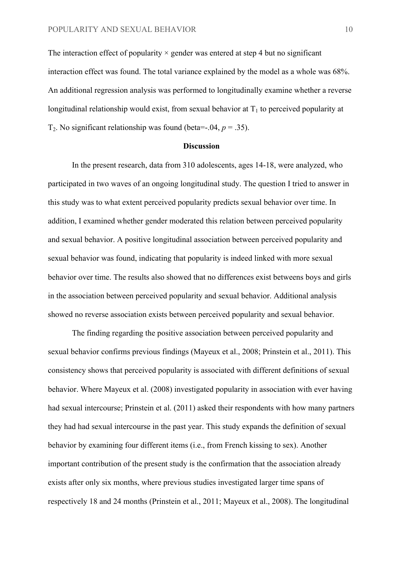The interaction effect of popularity  $\times$  gender was entered at step 4 but no significant interaction effect was found. The total variance explained by the model as a whole was 68%. An additional regression analysis was performed to longitudinally examine whether a reverse longitudinal relationship would exist, from sexual behavior at  $T_1$  to perceived popularity at T<sub>2</sub>. No significant relationship was found (beta= $-0.04$ ,  $p = 0.35$ ).

#### **Discussion**

In the present research, data from 310 adolescents, ages 14-18, were analyzed, who participated in two waves of an ongoing longitudinal study. The question I tried to answer in this study was to what extent perceived popularity predicts sexual behavior over time. In addition, I examined whether gender moderated this relation between perceived popularity and sexual behavior. A positive longitudinal association between perceived popularity and sexual behavior was found, indicating that popularity is indeed linked with more sexual behavior over time. The results also showed that no differences exist betweens boys and girls in the association between perceived popularity and sexual behavior. Additional analysis showed no reverse association exists between perceived popularity and sexual behavior.

The finding regarding the positive association between perceived popularity and sexual behavior confirms previous findings (Mayeux et al., 2008; Prinstein et al., 2011). This consistency shows that perceived popularity is associated with different definitions of sexual behavior. Where Mayeux et al. (2008) investigated popularity in association with ever having had sexual intercourse; Prinstein et al. (2011) asked their respondents with how many partners they had had sexual intercourse in the past year. This study expands the definition of sexual behavior by examining four different items (i.e., from French kissing to sex). Another important contribution of the present study is the confirmation that the association already exists after only six months, where previous studies investigated larger time spans of respectively 18 and 24 months (Prinstein et al., 2011; Mayeux et al., 2008). The longitudinal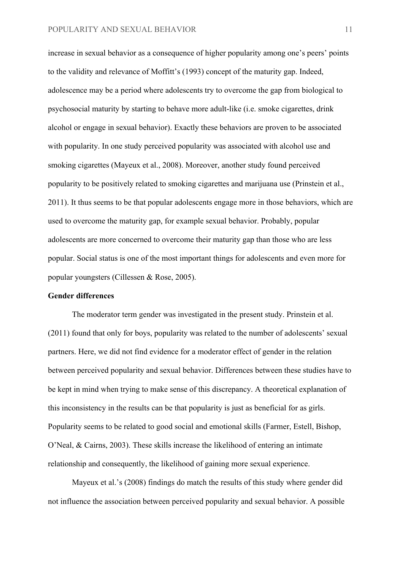increase in sexual behavior as a consequence of higher popularity among one's peers' points to the validity and relevance of Moffitt's (1993) concept of the maturity gap. Indeed, adolescence may be a period where adolescents try to overcome the gap from biological to psychosocial maturity by starting to behave more adult-like (i.e. smoke cigarettes, drink alcohol or engage in sexual behavior). Exactly these behaviors are proven to be associated with popularity. In one study perceived popularity was associated with alcohol use and smoking cigarettes (Mayeux et al., 2008). Moreover, another study found perceived popularity to be positively related to smoking cigarettes and marijuana use (Prinstein et al., 2011). It thus seems to be that popular adolescents engage more in those behaviors, which are used to overcome the maturity gap, for example sexual behavior. Probably, popular adolescents are more concerned to overcome their maturity gap than those who are less popular. Social status is one of the most important things for adolescents and even more for popular youngsters (Cillessen & Rose, 2005).

#### **Gender differences**

The moderator term gender was investigated in the present study. Prinstein et al. (2011) found that only for boys, popularity was related to the number of adolescents' sexual partners. Here, we did not find evidence for a moderator effect of gender in the relation between perceived popularity and sexual behavior. Differences between these studies have to be kept in mind when trying to make sense of this discrepancy. A theoretical explanation of this inconsistency in the results can be that popularity is just as beneficial for as girls. Popularity seems to be related to good social and emotional skills (Farmer, Estell, Bishop, O'Neal, & Cairns, 2003). These skills increase the likelihood of entering an intimate relationship and consequently, the likelihood of gaining more sexual experience.

Mayeux et al.'s (2008) findings do match the results of this study where gender did not influence the association between perceived popularity and sexual behavior. A possible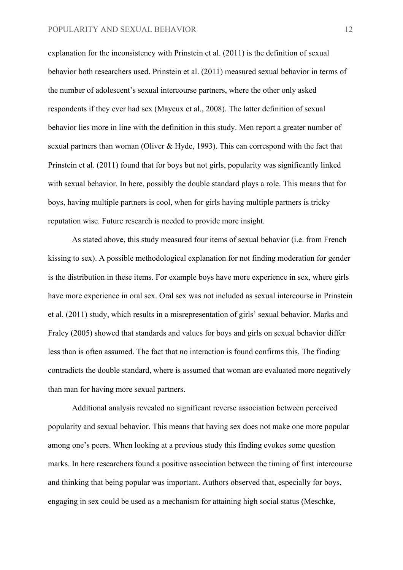explanation for the inconsistency with Prinstein et al. (2011) is the definition of sexual behavior both researchers used. Prinstein et al. (2011) measured sexual behavior in terms of the number of adolescent's sexual intercourse partners, where the other only asked respondents if they ever had sex (Mayeux et al., 2008). The latter definition of sexual behavior lies more in line with the definition in this study. Men report a greater number of sexual partners than woman (Oliver & Hyde, 1993). This can correspond with the fact that Prinstein et al. (2011) found that for boys but not girls, popularity was significantly linked with sexual behavior. In here, possibly the double standard plays a role. This means that for boys, having multiple partners is cool, when for girls having multiple partners is tricky reputation wise. Future research is needed to provide more insight.

As stated above, this study measured four items of sexual behavior (i.e. from French kissing to sex). A possible methodological explanation for not finding moderation for gender is the distribution in these items. For example boys have more experience in sex, where girls have more experience in oral sex. Oral sex was not included as sexual intercourse in Prinstein et al. (2011) study, which results in a misrepresentation of girls' sexual behavior. Marks and Fraley (2005) showed that standards and values for boys and girls on sexual behavior differ less than is often assumed. The fact that no interaction is found confirms this. The finding contradicts the double standard, where is assumed that woman are evaluated more negatively than man for having more sexual partners.

Additional analysis revealed no significant reverse association between perceived popularity and sexual behavior. This means that having sex does not make one more popular among one's peers. When looking at a previous study this finding evokes some question marks. In here researchers found a positive association between the timing of first intercourse and thinking that being popular was important. Authors observed that, especially for boys, engaging in sex could be used as a mechanism for attaining high social status (Meschke,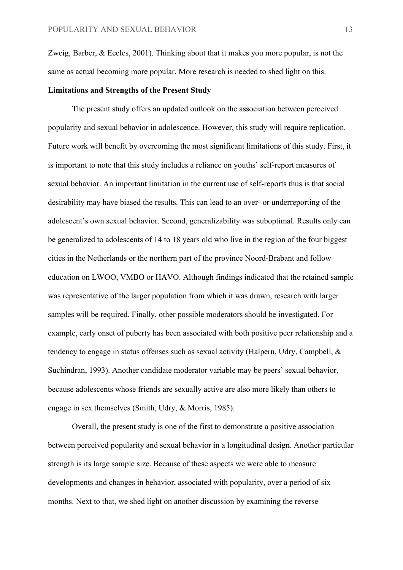Zweig, Barber, & Eccles, 2001). Thinking about that it makes you more popular, is not the same as actual becoming more popular. More research is needed to shed light on this.

#### **Limitations and Strengths of the Present Study**

The present study offers an updated outlook on the association between perceived popularity and sexual behavior in adolescence. However, this study will require replication. Future work will benefit by overcoming the most significant limitations of this study. First, it is important to note that this study includes a reliance on youths' self-report measures of sexual behavior. An important limitation in the current use of self-reports thus is that social desirability may have biased the results. This can lead to an over- or underreporting of the adolescent's own sexual behavior. Second, generalizability was suboptimal. Results only can be generalized to adolescents of 14 to 18 years old who live in the region of the four biggest cities in the Netherlands or the northern part of the province Noord-Brabant and follow education on LWOO, VMBO or HAVO. Although findings indicated that the retained sample was representative of the larger population from which it was drawn, research with larger samples will be required. Finally, other possible moderators should be investigated. For example, early onset of puberty has been associated with both positive peer relationship and a tendency to engage in status offenses such as sexual activity (Halpern, Udry, Campbell, & Suchindran, 1993). Another candidate moderator variable may be peers' sexual behavior, because adolescents whose friends are sexually active are also more likely than others to engage in sex themselves (Smith, Udry, & Morris, 1985).

Overall, the present study is one of the first to demonstrate a positive association between perceived popularity and sexual behavior in a longitudinal design. Another particular strength is its large sample size. Because of these aspects we were able to measure developments and changes in behavior, associated with popularity, over a period of six months. Next to that, we shed light on another discussion by examining the reverse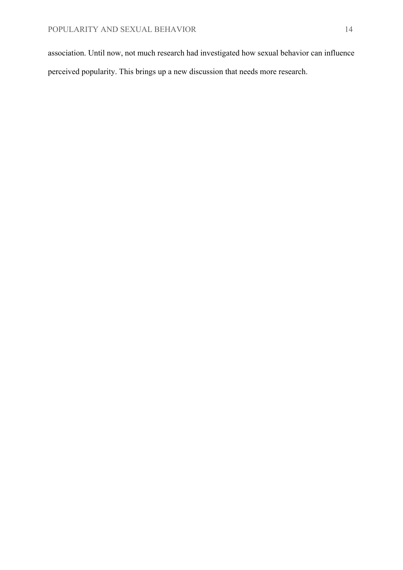association. Until now, not much research had investigated how sexual behavior can influence perceived popularity. This brings up a new discussion that needs more research.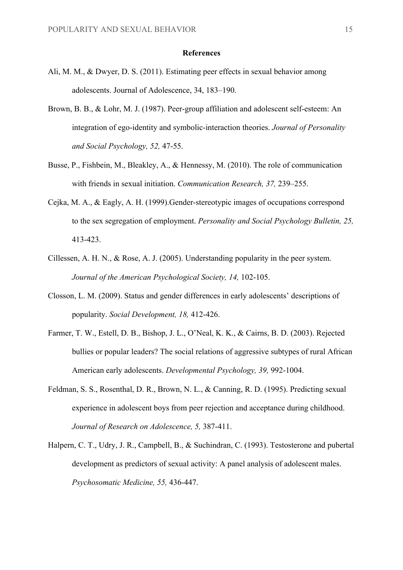#### **References**

- Ali, M. M., & Dwyer, D. S. (2011). Estimating peer effects in sexual behavior among adolescents. Journal of Adolescence, 34, 183–190.
- Brown, B. B., & Lohr, M. J. (1987). Peer-group affiliation and adolescent self-esteem: An integration of ego-identity and symbolic-interaction theories. *Journal of Personality and Social Psychology, 52,* 47-55.
- Busse, P., Fishbein, M., Bleakley, A., & Hennessy, M. (2010). The role of communication with friends in sexual initiation. *Communication Research, 37,* 239–255.
- Cejka, M. A., & Eagly, A. H. (1999).Gender-stereotypic images of occupations correspond to the sex segregation of employment. *Personality and Social Psychology Bulletin, 25,*  413-423.
- Cillessen, A. H. N., & Rose, A. J. (2005). Understanding popularity in the peer system. *Journal of the American Psychological Society, 14,* 102-105.
- Closson, L. M. (2009). Status and gender differences in early adolescents' descriptions of popularity. *Social Development, 18,* 412-426.
- Farmer, T. W., Estell, D. B., Bishop, J. L., O'Neal, K. K., & Cairns, B. D. (2003). Rejected bullies or popular leaders? The social relations of aggressive subtypes of rural African American early adolescents. *Developmental Psychology, 39,* 992-1004.
- Feldman, S. S., Rosenthal, D. R., Brown, N. L., & Canning, R. D. (1995). Predicting sexual experience in adolescent boys from peer rejection and acceptance during childhood. *Journal of Research on Adolescence, 5,* 387-411.
- Halpern, C. T., Udry, J. R., Campbell, B., & Suchindran, C. (1993). Testosterone and pubertal development as predictors of sexual activity: A panel analysis of adolescent males. *Psychosomatic Medicine, 55,* 436-447.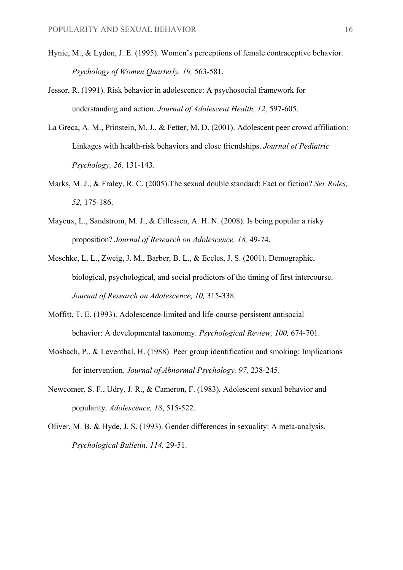- Hynie, M., & Lydon, J. E. (1995). Women's perceptions of female contraceptive behavior. *Psychology of Women Quarterly, 19,* 563-581.
- Jessor, R. (1991). Risk behavior in adolescence: A psychosocial framework for understanding and action. *Journal of Adolescent Health, 12,* 597-605.
- La Greca, A. M., Prinstein, M. J., & Fetter, M. D. (2001). Adolescent peer crowd affiliation: Linkages with health-risk behaviors and close friendships. *Journal of Pediatric Psychology, 26,* 131-143.
- Marks, M. J., & Fraley, R. C. (2005).The sexual double standard: Fact or fiction? *Sex Roles, 52,* 175-186.
- Mayeux, L., Sandstrom, M. J., & Cillessen, A. H. N. (2008). Is being popular a risky proposition? *Journal of Research on Adolescence, 18,* 49-74.
- Meschke, L. L., Zweig, J. M., Barber, B. L., & Eccles, J. S. (2001). Demographic, biological, psychological, and social predictors of the timing of first intercourse. *Journal of Research on Adolescence, 10,* 315-338.
- Moffitt, T. E. (1993). Adolescence-limited and life-course-persistent antisocial behavior: A developmental taxonomy. *Psychological Review, 100,* 674-701.
- Mosbach, P., & Leventhal, H. (1988). Peer group identification and smoking: Implications for intervention. *Journal of Abnormal Psychology, 97,* 238-245.
- Newcomer, S. F., Udry, J. R., & Cameron, F. (1983). Adolescent sexual behavior and popularity. *Adolescence, 18*, 515-522.
- Oliver, M. B. & Hyde, J. S. (1993). Gender differences in sexuality: A meta-analysis. *Psychological Bulletin, 114,* 29-51.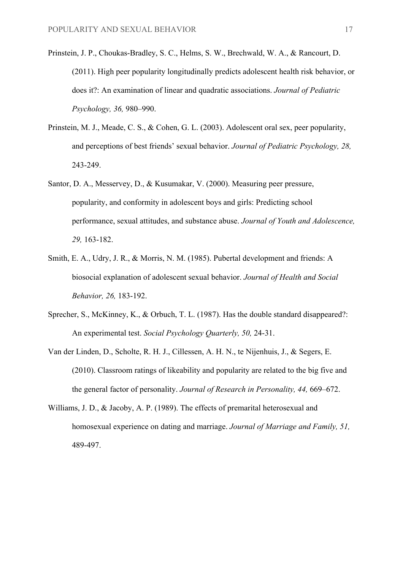- Prinstein, J. P., Choukas-Bradley, S. C., Helms, S. W., Brechwald, W. A., & Rancourt, D. (2011). High peer popularity longitudinally predicts adolescent health risk behavior, or does it?: An examination of linear and quadratic associations. *Journal of Pediatric Psychology, 36,* 980–990.
- Prinstein, M. J., Meade, C. S., & Cohen, G. L. (2003). Adolescent oral sex, peer popularity, and perceptions of best friends' sexual behavior. *Journal of Pediatric Psychology, 28,* 243-249.
- Santor, D. A., Messervey, D., & Kusumakar, V. (2000). Measuring peer pressure, popularity, and conformity in adolescent boys and girls: Predicting school performance, sexual attitudes, and substance abuse. *Journal of Youth and Adolescence, 29,* 163-182.
- Smith, E. A., Udry, J. R., & Morris, N. M. (1985). Pubertal development and friends: A biosocial explanation of adolescent sexual behavior. *Journal of Health and Social Behavior, 26,* 183-192.
- Sprecher, S., McKinney, K., & Orbuch, T. L. (1987). Has the double standard disappeared?: An experimental test. *Social Psychology Quarterly, 50,* 24-31.
- Van der Linden, D., Scholte, R. H. J., Cillessen, A. H. N., te Nijenhuis, J., & Segers, E. (2010). Classroom ratings of likeability and popularity are related to the big five and the general factor of personality. *Journal of Research in Personality, 44,* 669–672.
- Williams, J. D., & Jacoby, A. P. (1989). The effects of premarital heterosexual and homosexual experience on dating and marriage. *Journal of Marriage and Family, 51,* 489-497.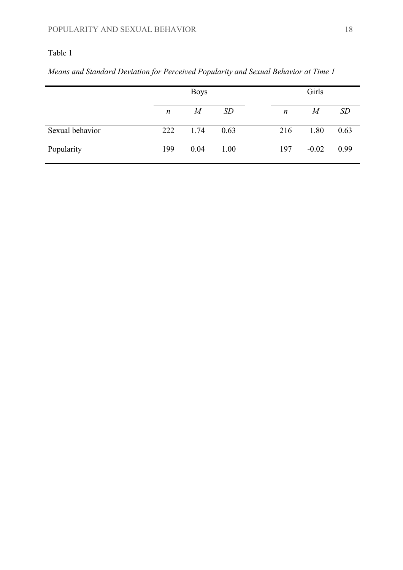# Table 1

|                 | <b>Boys</b>      |                  |      | Girls |                  |                |      |
|-----------------|------------------|------------------|------|-------|------------------|----------------|------|
|                 | $\boldsymbol{n}$ | $\boldsymbol{M}$ | SD   |       | $\boldsymbol{n}$ | $\overline{M}$ | SD   |
| Sexual behavior | 222              | 1.74             | 0.63 |       | 216              | 1.80           | 0.63 |
| Popularity      | 199              | 0.04             | 1.00 |       | 197              | $-0.02$        | 0.99 |

*Means and Standard Deviation for Perceived Popularity and Sexual Behavior at Time 1*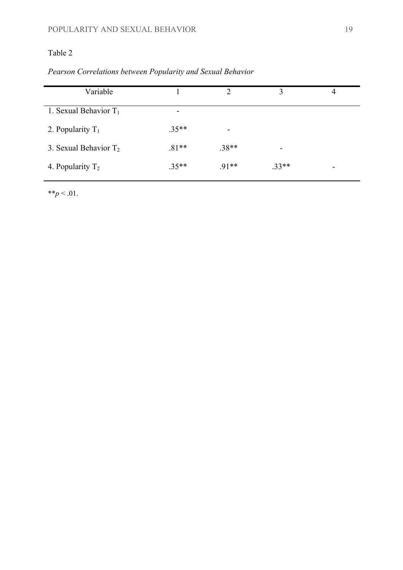# Table 2

| Variable                 |         | ◠       | ζ       | 4                        |
|--------------------------|---------|---------|---------|--------------------------|
| 1. Sexual Behavior $T_1$ | -       |         |         |                          |
| 2. Popularity $T_1$      | $.35**$ | -       |         |                          |
| 3. Sexual Behavior $T_2$ | $.81**$ | $.38**$ |         |                          |
| 4. Popularity $T_2$      | $.35**$ | $.91**$ | $.33**$ | $\overline{\phantom{a}}$ |

 $*$ *\*p* < .01.